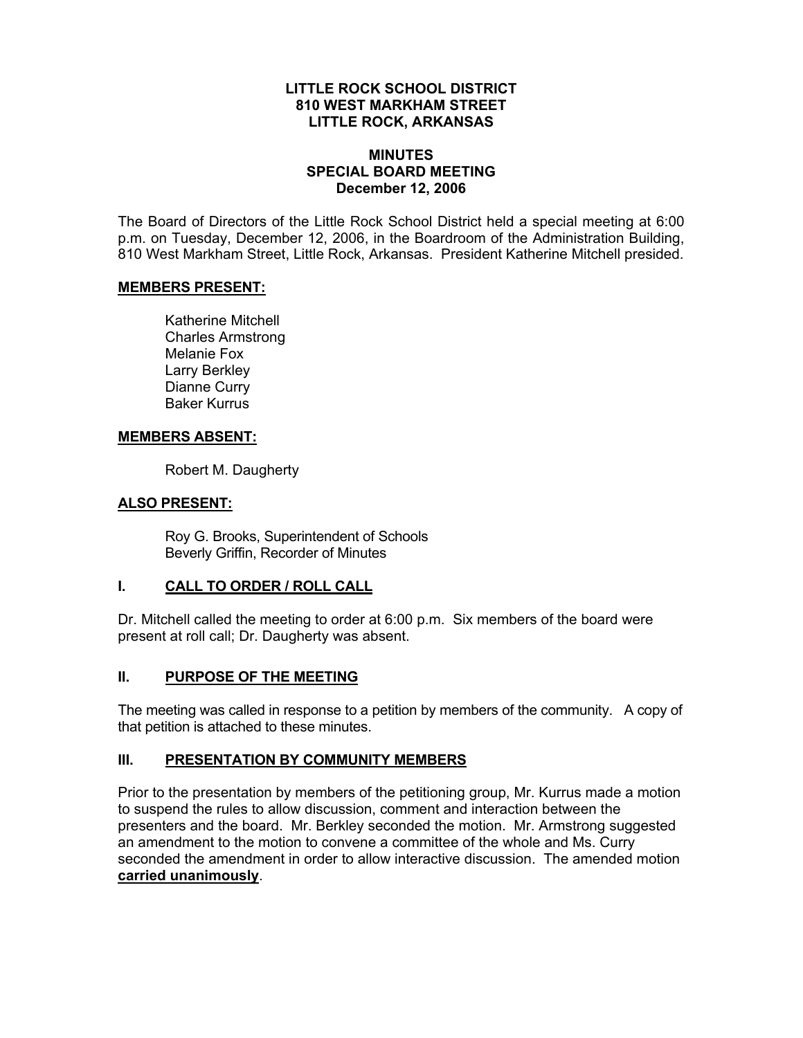#### **LITTLE ROCK SCHOOL DISTRICT 810 WEST MARKHAM STREET LITTLE ROCK, ARKANSAS**

#### **MINUTES SPECIAL BOARD MEETING December 12, 2006**

The Board of Directors of the Little Rock School District held a special meeting at 6:00 p.m. on Tuesday, December 12, 2006, in the Boardroom of the Administration Building, 810 West Markham Street, Little Rock, Arkansas. President Katherine Mitchell presided.

#### **MEMBERS PRESENT:**

Katherine Mitchell Charles Armstrong Melanie Fox Larry Berkley Dianne Curry Baker Kurrus

## **MEMBERS ABSENT:**

Robert M. Daugherty

## **ALSO PRESENT:**

 Roy G. Brooks, Superintendent of Schools Beverly Griffin, Recorder of Minutes

## **I. CALL TO ORDER / ROLL CALL**

Dr. Mitchell called the meeting to order at 6:00 p.m. Six members of the board were present at roll call; Dr. Daugherty was absent.

# **II. PURPOSE OF THE MEETING**

The meeting was called in response to a petition by members of the community. A copy of that petition is attached to these minutes.

# **III. PRESENTATION BY COMMUNITY MEMBERS**

Prior to the presentation by members of the petitioning group, Mr. Kurrus made a motion to suspend the rules to allow discussion, comment and interaction between the presenters and the board. Mr. Berkley seconded the motion. Mr. Armstrong suggested an amendment to the motion to convene a committee of the whole and Ms. Curry seconded the amendment in order to allow interactive discussion. The amended motion **carried unanimously**.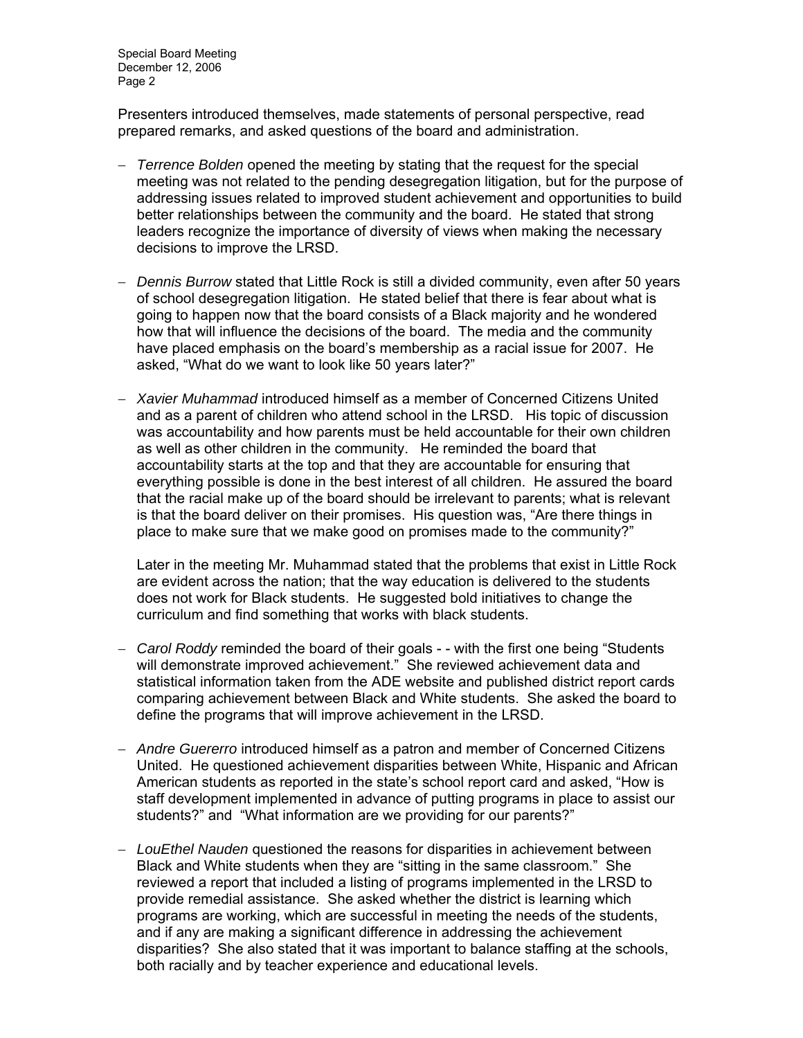Special Board Meeting December 12, 2006 Page 2

Presenters introduced themselves, made statements of personal perspective, read prepared remarks, and asked questions of the board and administration.

- *Terrence Bolden* opened the meeting by stating that the request for the special meeting was not related to the pending desegregation litigation, but for the purpose of addressing issues related to improved student achievement and opportunities to build better relationships between the community and the board. He stated that strong leaders recognize the importance of diversity of views when making the necessary decisions to improve the LRSD.
- *Dennis Burrow* stated that Little Rock is still a divided community, even after 50 years of school desegregation litigation. He stated belief that there is fear about what is going to happen now that the board consists of a Black majority and he wondered how that will influence the decisions of the board. The media and the community have placed emphasis on the board's membership as a racial issue for 2007. He asked, "What do we want to look like 50 years later?"
- *Xavier Muhammad* introduced himself as a member of Concerned Citizens United and as a parent of children who attend school in the LRSD. His topic of discussion was accountability and how parents must be held accountable for their own children as well as other children in the community. He reminded the board that accountability starts at the top and that they are accountable for ensuring that everything possible is done in the best interest of all children. He assured the board that the racial make up of the board should be irrelevant to parents; what is relevant is that the board deliver on their promises. His question was, "Are there things in place to make sure that we make good on promises made to the community?"

Later in the meeting Mr. Muhammad stated that the problems that exist in Little Rock are evident across the nation; that the way education is delivered to the students does not work for Black students. He suggested bold initiatives to change the curriculum and find something that works with black students.

- *Carol Roddy* reminded the board of their goals - with the first one being "Students will demonstrate improved achievement." She reviewed achievement data and statistical information taken from the ADE website and published district report cards comparing achievement between Black and White students. She asked the board to define the programs that will improve achievement in the LRSD.
- *Andre Guererro* introduced himself as a patron and member of Concerned Citizens United. He questioned achievement disparities between White, Hispanic and African American students as reported in the state's school report card and asked, "How is staff development implemented in advance of putting programs in place to assist our students?" and "What information are we providing for our parents?"
- *LouEthel Nauden* questioned the reasons for disparities in achievement between Black and White students when they are "sitting in the same classroom." She reviewed a report that included a listing of programs implemented in the LRSD to provide remedial assistance. She asked whether the district is learning which programs are working, which are successful in meeting the needs of the students, and if any are making a significant difference in addressing the achievement disparities? She also stated that it was important to balance staffing at the schools, both racially and by teacher experience and educational levels.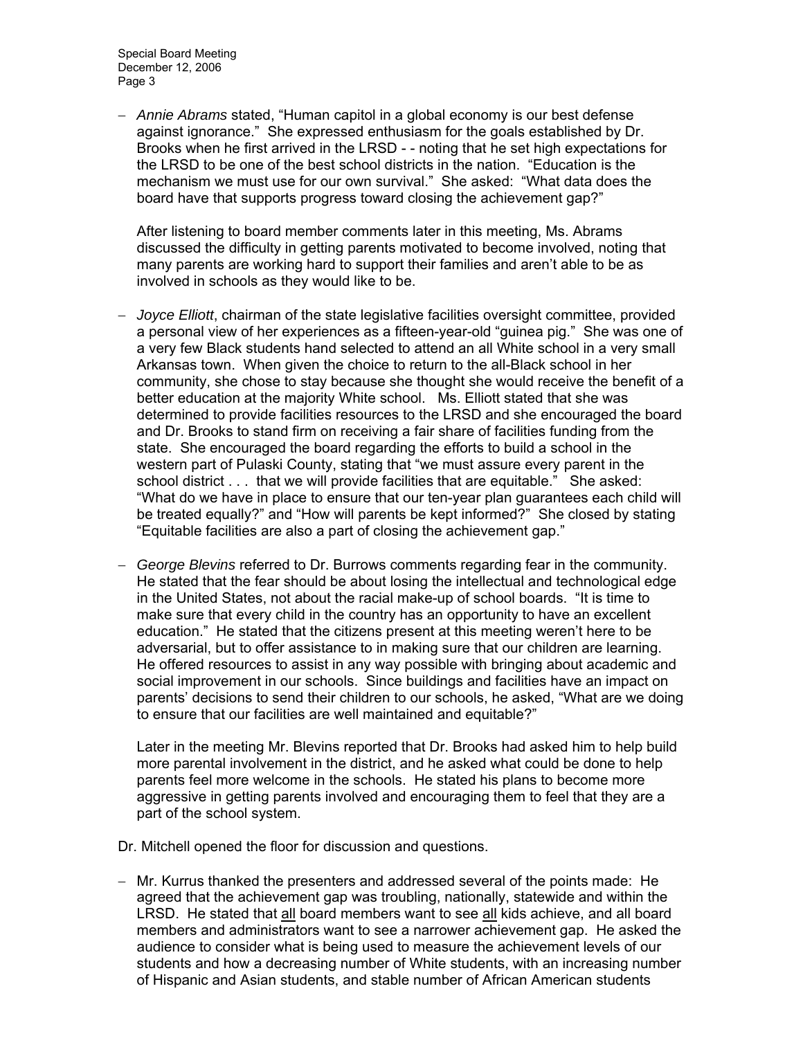Special Board Meeting December 12, 2006 Page 3

 *Annie Abrams* stated, "Human capitol in a global economy is our best defense against ignorance." She expressed enthusiasm for the goals established by Dr. Brooks when he first arrived in the LRSD - - noting that he set high expectations for the LRSD to be one of the best school districts in the nation. "Education is the mechanism we must use for our own survival." She asked: "What data does the board have that supports progress toward closing the achievement gap?"

After listening to board member comments later in this meeting, Ms. Abrams discussed the difficulty in getting parents motivated to become involved, noting that many parents are working hard to support their families and aren't able to be as involved in schools as they would like to be.

- *Joyce Elliott*, chairman of the state legislative facilities oversight committee, provided a personal view of her experiences as a fifteen-year-old "guinea pig." She was one of a very few Black students hand selected to attend an all White school in a very small Arkansas town. When given the choice to return to the all-Black school in her community, she chose to stay because she thought she would receive the benefit of a better education at the majority White school. Ms. Elliott stated that she was determined to provide facilities resources to the LRSD and she encouraged the board and Dr. Brooks to stand firm on receiving a fair share of facilities funding from the state. She encouraged the board regarding the efforts to build a school in the western part of Pulaski County, stating that "we must assure every parent in the school district . . . that we will provide facilities that are equitable." She asked: "What do we have in place to ensure that our ten-year plan guarantees each child will be treated equally?" and "How will parents be kept informed?" She closed by stating "Equitable facilities are also a part of closing the achievement gap."
- *George Blevins* referred to Dr. Burrows comments regarding fear in the community. He stated that the fear should be about losing the intellectual and technological edge in the United States, not about the racial make-up of school boards. "It is time to make sure that every child in the country has an opportunity to have an excellent education." He stated that the citizens present at this meeting weren't here to be adversarial, but to offer assistance to in making sure that our children are learning. He offered resources to assist in any way possible with bringing about academic and social improvement in our schools. Since buildings and facilities have an impact on parents' decisions to send their children to our schools, he asked, "What are we doing to ensure that our facilities are well maintained and equitable?"

Later in the meeting Mr. Blevins reported that Dr. Brooks had asked him to help build more parental involvement in the district, and he asked what could be done to help parents feel more welcome in the schools. He stated his plans to become more aggressive in getting parents involved and encouraging them to feel that they are a part of the school system.

Dr. Mitchell opened the floor for discussion and questions.

- Mr. Kurrus thanked the presenters and addressed several of the points made: He agreed that the achievement gap was troubling, nationally, statewide and within the LRSD. He stated that all board members want to see all kids achieve, and all board members and administrators want to see a narrower achievement gap. He asked the audience to consider what is being used to measure the achievement levels of our students and how a decreasing number of White students, with an increasing number of Hispanic and Asian students, and stable number of African American students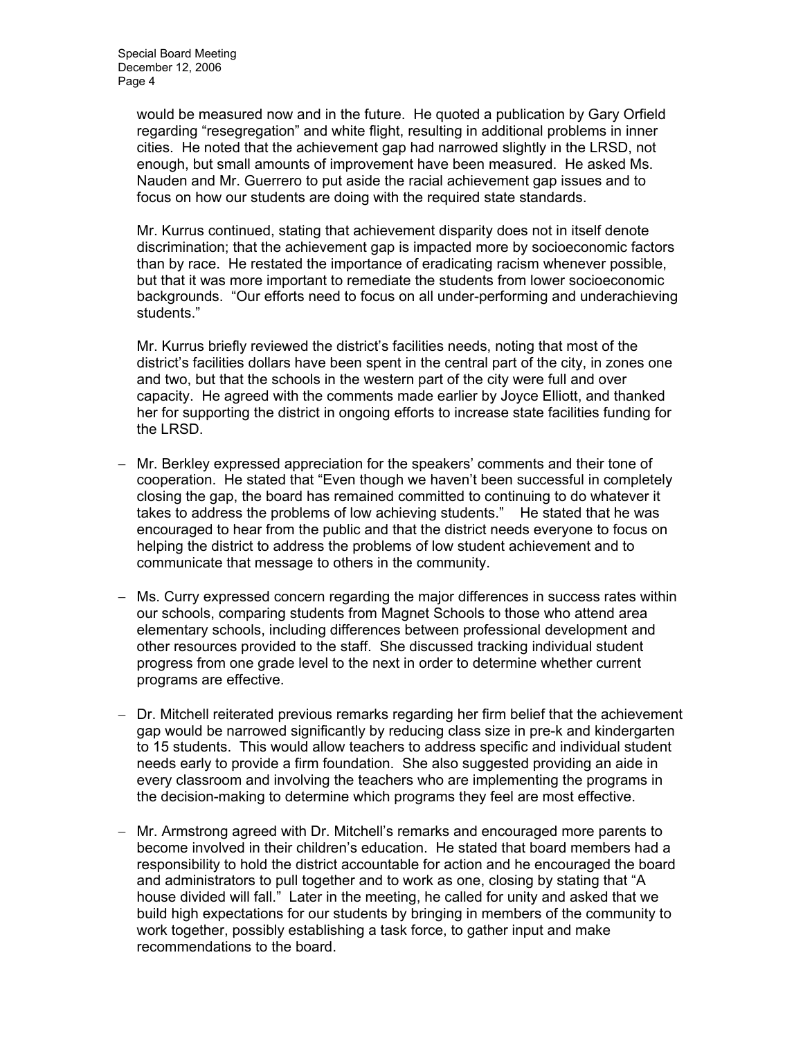would be measured now and in the future. He quoted a publication by Gary Orfield regarding "resegregation" and white flight, resulting in additional problems in inner cities. He noted that the achievement gap had narrowed slightly in the LRSD, not enough, but small amounts of improvement have been measured. He asked Ms. Nauden and Mr. Guerrero to put aside the racial achievement gap issues and to focus on how our students are doing with the required state standards.

Mr. Kurrus continued, stating that achievement disparity does not in itself denote discrimination; that the achievement gap is impacted more by socioeconomic factors than by race. He restated the importance of eradicating racism whenever possible, but that it was more important to remediate the students from lower socioeconomic backgrounds. "Our efforts need to focus on all under-performing and underachieving students."

Mr. Kurrus briefly reviewed the district's facilities needs, noting that most of the district's facilities dollars have been spent in the central part of the city, in zones one and two, but that the schools in the western part of the city were full and over capacity. He agreed with the comments made earlier by Joyce Elliott, and thanked her for supporting the district in ongoing efforts to increase state facilities funding for the LRSD.

- Mr. Berkley expressed appreciation for the speakers' comments and their tone of cooperation. He stated that "Even though we haven't been successful in completely closing the gap, the board has remained committed to continuing to do whatever it takes to address the problems of low achieving students." He stated that he was encouraged to hear from the public and that the district needs everyone to focus on helping the district to address the problems of low student achievement and to communicate that message to others in the community.
- Ms. Curry expressed concern regarding the major differences in success rates within our schools, comparing students from Magnet Schools to those who attend area elementary schools, including differences between professional development and other resources provided to the staff. She discussed tracking individual student progress from one grade level to the next in order to determine whether current programs are effective.
- Dr. Mitchell reiterated previous remarks regarding her firm belief that the achievement gap would be narrowed significantly by reducing class size in pre-k and kindergarten to 15 students. This would allow teachers to address specific and individual student needs early to provide a firm foundation. She also suggested providing an aide in every classroom and involving the teachers who are implementing the programs in the decision-making to determine which programs they feel are most effective.
- Mr. Armstrong agreed with Dr. Mitchell's remarks and encouraged more parents to become involved in their children's education. He stated that board members had a responsibility to hold the district accountable for action and he encouraged the board and administrators to pull together and to work as one, closing by stating that "A house divided will fall." Later in the meeting, he called for unity and asked that we build high expectations for our students by bringing in members of the community to work together, possibly establishing a task force, to gather input and make recommendations to the board.